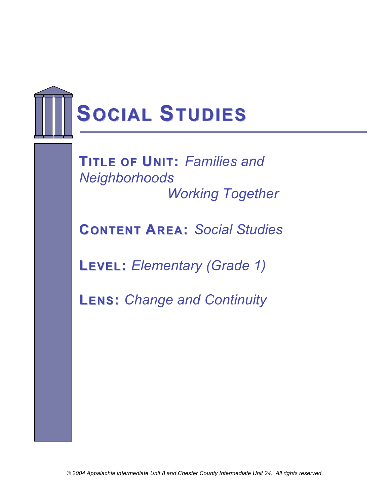

**TITLE OF UNIT:** *Families and Neighborhoods Working Together*

**CONTENT AREA:** *Social Studies*

**LEVEL:** *Elementary (Grade 1)*

**LENS:** *Change and Continuity*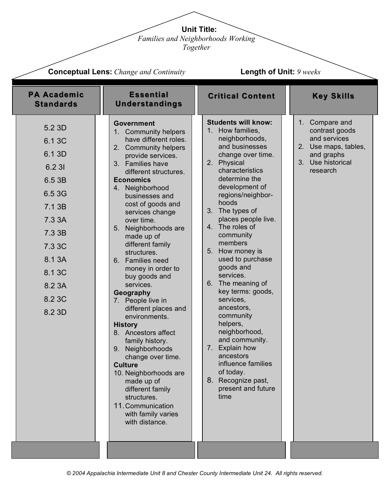**Unit Title:**

*Families and Neighborhoods Working* 

*Together*

|                                                                                                                                                    | <b>Conceptual Lens:</b> Change and Continuity<br><b>Length of Unit: 9 weeks</b>                                                                                                                                                                                                                                                                                                                                                                                                                                                                                                                                                                                                                                                                                               |                                                                                                                                                                                                                                                                                                                                                                                                                                                                                                                                                                                                                                        |                                                                                                                                     |
|----------------------------------------------------------------------------------------------------------------------------------------------------|-------------------------------------------------------------------------------------------------------------------------------------------------------------------------------------------------------------------------------------------------------------------------------------------------------------------------------------------------------------------------------------------------------------------------------------------------------------------------------------------------------------------------------------------------------------------------------------------------------------------------------------------------------------------------------------------------------------------------------------------------------------------------------|----------------------------------------------------------------------------------------------------------------------------------------------------------------------------------------------------------------------------------------------------------------------------------------------------------------------------------------------------------------------------------------------------------------------------------------------------------------------------------------------------------------------------------------------------------------------------------------------------------------------------------------|-------------------------------------------------------------------------------------------------------------------------------------|
| <b>PA Academic</b><br><b>Standards</b>                                                                                                             | <b>Essential</b><br><b>Understandings</b>                                                                                                                                                                                                                                                                                                                                                                                                                                                                                                                                                                                                                                                                                                                                     | <b>Critical Content</b>                                                                                                                                                                                                                                                                                                                                                                                                                                                                                                                                                                                                                | <b>Key Skills</b>                                                                                                                   |
| 5.2 3D<br>6.1 3C<br>6.1 3D<br>6.2 31<br>6.5 3B<br>6.5 3G<br>7.1 3B<br>7.3 3A<br>7.3 3B<br>7.3 3C<br>8.1 3A<br>8.1 3C<br>8.2 3A<br>8.2 3C<br>8.2 3D | <b>Government</b><br>1. Community helpers<br>have different roles.<br>2. Community helpers<br>provide services.<br>3. Families have<br>different structures.<br><b>Economics</b><br>4. Neighborhood<br>businesses and<br>cost of goods and<br>services change<br>over time.<br>Neighborhoods are<br>5.<br>made up of<br>different family<br>structures.<br>6. Families need<br>money in order to<br>buy goods and<br>services.<br>Geography<br>People live in<br>7.<br>different places and<br>environments.<br><b>History</b><br>8. Ancestors affect<br>family history.<br>Neighborhoods<br>9.<br>change over time.<br><b>Culture</b><br>10. Neighborhoods are<br>made up of<br>different family<br>structures.<br>11. Communication<br>with family varies<br>with distance. | <b>Students will know:</b><br>How families,<br>1.<br>neighborhoods,<br>and businesses<br>change over time.<br>Physical<br>2.<br>characteristics<br>determine the<br>development of<br>regions/neighbor-<br>hoods<br>3. The types of<br>places people live.<br>4. The roles of<br>community<br>members<br>How money is<br>5.<br>used to purchase<br>goods and<br>services.<br>6. The meaning of<br>key terms: goods,<br>services,<br>ancestors,<br>community<br>helpers,<br>neighborhood,<br>and community.<br>Explain how<br>7.<br>ancestors<br>influence families<br>of today.<br>Recognize past,<br>8.<br>present and future<br>time | Compare and<br>$1_{\cdot}$<br>contrast goods<br>and services<br>2. Use maps, tables,<br>and graphs<br>3. Use historical<br>research |
|                                                                                                                                                    |                                                                                                                                                                                                                                                                                                                                                                                                                                                                                                                                                                                                                                                                                                                                                                               |                                                                                                                                                                                                                                                                                                                                                                                                                                                                                                                                                                                                                                        |                                                                                                                                     |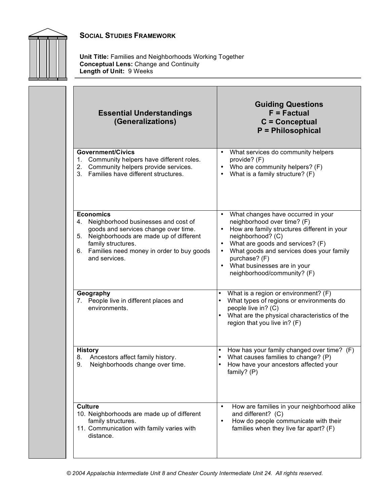

**Unit Title:** Families and Neighborhoods Working Together **Conceptual Lens:** Change and Continuity **Length of Unit:** 9 Weeks

| <b>Essential Understandings</b><br>(Generalizations)                                                                                                                                                                                            | <b>Guiding Questions</b><br>$F = Factorual$<br>$C =$ Conceptual<br><b>P</b> = Philosophical                                                                                                                                                                                                                                                                           |
|-------------------------------------------------------------------------------------------------------------------------------------------------------------------------------------------------------------------------------------------------|-----------------------------------------------------------------------------------------------------------------------------------------------------------------------------------------------------------------------------------------------------------------------------------------------------------------------------------------------------------------------|
| <b>Government/Civics</b><br>Community helpers have different roles.<br>1.<br>Community helpers provide services.<br>2.<br>Families have different structures.<br>3.                                                                             | What services do community helpers<br>$\bullet$<br>provide? (F)<br>Who are community helpers? (F)<br>$\bullet$<br>What is a family structure? (F)<br>$\bullet$                                                                                                                                                                                                        |
| <b>Economics</b><br>Neighborhood businesses and cost of<br>4.<br>goods and services change over time.<br>Neighborhoods are made up of different<br>5.<br>family structures.<br>Families need money in order to buy goods<br>6.<br>and services. | What changes have occurred in your<br>$\bullet$<br>neighborhood over time? (F)<br>How are family structures different in your<br>$\bullet$<br>neighborhood? (C)<br>What are goods and services? (F)<br>$\bullet$<br>What goods and services does your family<br>$\bullet$<br>purchase? (F)<br>What businesses are in your<br>$\bullet$<br>neighborhood/community? (F) |
| Geography<br>7. People live in different places and<br>environments.                                                                                                                                                                            | What is a region or environment? (F)<br>$\bullet$<br>What types of regions or environments do<br>$\bullet$<br>people live in? (C)<br>What are the physical characteristics of the<br>$\bullet$<br>region that you live in? (F)                                                                                                                                        |
| <b>History</b><br>Ancestors affect family history.<br>8.<br>9.<br>Neighborhoods change over time.                                                                                                                                               | How has your family changed over time? (F)<br>$\bullet$<br>What causes families to change? (P)<br>$\bullet$<br>How have your ancestors affected your<br>$\bullet$<br>family? (P)                                                                                                                                                                                      |
| <b>Culture</b><br>10. Neighborhoods are made up of different<br>family structures.<br>11. Communication with family varies with<br>distance.                                                                                                    | How are families in your neighborhood alike<br>$\bullet$<br>and different? (C)<br>How do people communicate with their<br>$\bullet$<br>families when they live far apart? (F)                                                                                                                                                                                         |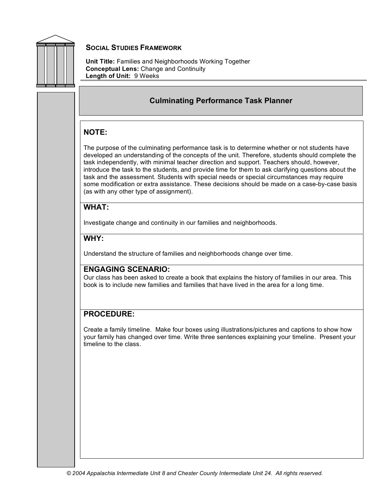

**Unit Title:** Families and Neighborhoods Working Together **Conceptual Lens:** Change and Continuity **Length of Unit:** 9 Weeks

#### **Culminating Performance Task Planner**

#### **NOTE:**

The purpose of the culminating performance task is to determine whether or not students have developed an understanding of the concepts of the unit. Therefore, students should complete the task independently, with minimal teacher direction and support. Teachers should, however, introduce the task to the students, and provide time for them to ask clarifying questions about the task and the assessment. Students with special needs or special circumstances may require some modification or extra assistance. These decisions should be made on a case-by-case basis (as with any other type of assignment).

#### **WHAT:**

Investigate change and continuity in our families and neighborhoods.

#### **WHY:**

Understand the structure of families and neighborhoods change over time.

#### **ENGAGING SCENARIO:**

Our class has been asked to create a book that explains the history of families in our area. This book is to include new families and families that have lived in the area for a long time.

#### **PROCEDURE:**

Create a family timeline. Make four boxes using illustrations/pictures and captions to show how your family has changed over time. Write three sentences explaining your timeline. Present your timeline to the class.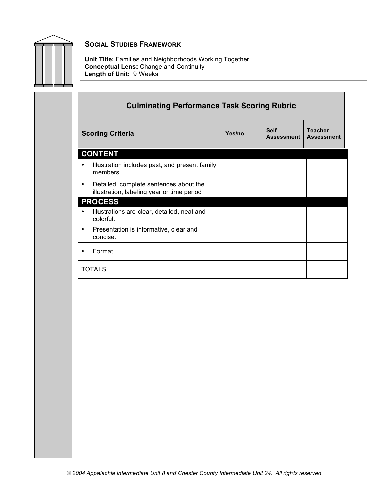

**Unit Title:** Families and Neighborhoods Working Together **Conceptual Lens:** Change and Continuity **Length of Unit:** 9 Weeks

| <b>Culminating Performance Task Scoring Rubric</b>                                        |        |                                  |                                     |  |
|-------------------------------------------------------------------------------------------|--------|----------------------------------|-------------------------------------|--|
| <b>Scoring Criteria</b>                                                                   | Yes/no | <b>Self</b><br><b>Assessment</b> | <b>Teacher</b><br><b>Assessment</b> |  |
| <b>CONTENT</b>                                                                            |        |                                  |                                     |  |
| Illustration includes past, and present family<br>members.                                |        |                                  |                                     |  |
| Detailed, complete sentences about the<br>٠<br>illustration, labeling year or time period |        |                                  |                                     |  |
| <b>PROCESS</b>                                                                            |        |                                  |                                     |  |
| Illustrations are clear, detailed, neat and<br>colorful.                                  |        |                                  |                                     |  |
| Presentation is informative, clear and<br>٠<br>concise.                                   |        |                                  |                                     |  |
| Format                                                                                    |        |                                  |                                     |  |
| <b>TOTALS</b>                                                                             |        |                                  |                                     |  |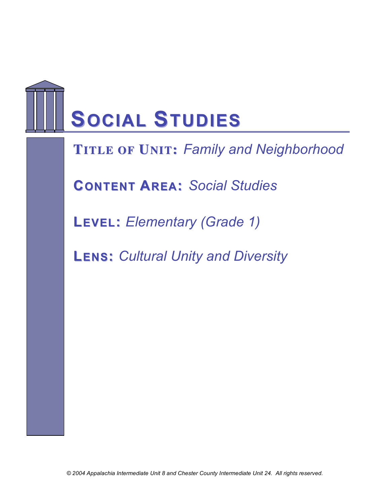## **SOCIAL STUDIES**

**FTIRTLAEMOFEUWNI OT:R***F***K***am***S***ily and Neighborhood*

**CONTENT AREA:** *Social Studies*

**LEVEL:** *Elementary (Grade 1)*

**LENS:** *Cultural Unity and Diversity*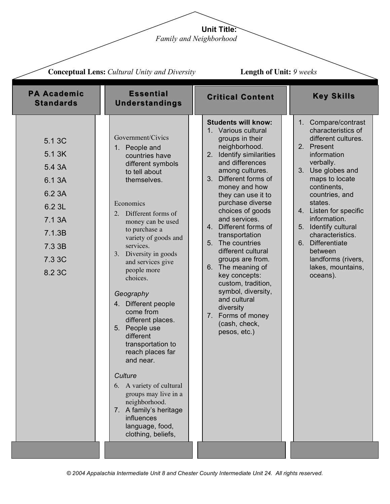**Unit Title:** *Family and Neighborhood*

|                                                                                                            | <b>Conceptual Lens:</b> Cultural Unity and Diversity                                                                                                                                                                                                                                                                                                                                                                                                                                                                                                                                                                                     |                                                                                                                                                                                                                                                                                                                                                                                                                                                                                                                                                                | <b>Length of Unit: 9 weeks</b>                                                                                                                                                                                                                                                                                                                                               |  |  |
|------------------------------------------------------------------------------------------------------------|------------------------------------------------------------------------------------------------------------------------------------------------------------------------------------------------------------------------------------------------------------------------------------------------------------------------------------------------------------------------------------------------------------------------------------------------------------------------------------------------------------------------------------------------------------------------------------------------------------------------------------------|----------------------------------------------------------------------------------------------------------------------------------------------------------------------------------------------------------------------------------------------------------------------------------------------------------------------------------------------------------------------------------------------------------------------------------------------------------------------------------------------------------------------------------------------------------------|------------------------------------------------------------------------------------------------------------------------------------------------------------------------------------------------------------------------------------------------------------------------------------------------------------------------------------------------------------------------------|--|--|
| <b>PA Academic</b><br><b>Standards</b>                                                                     | <b>Essential</b><br><b>Understandings</b>                                                                                                                                                                                                                                                                                                                                                                                                                                                                                                                                                                                                | <b>Critical Content</b>                                                                                                                                                                                                                                                                                                                                                                                                                                                                                                                                        | <b>Key Skills</b>                                                                                                                                                                                                                                                                                                                                                            |  |  |
| 5.1 3C<br>5.1 3K<br>5.4 3A<br>6.1 3A<br>6.2 3A<br>6.2 3L<br>7.1 3A<br>7.1.3B<br>7.3 3B<br>7.3 3C<br>8.2 3C | Government/Civics<br>1. People and<br>countries have<br>different symbols<br>to tell about<br>themselves.<br>Economics<br>Different forms of<br>2.<br>money can be used<br>to purchase a<br>variety of goods and<br>services.<br>3. Diversity in goods<br>and services give<br>people more<br>choices.<br>Geography<br>4. Different people<br>come from<br>different places.<br>5. People use<br>different<br>transportation to<br>reach places far<br>and near.<br>Culture<br>6. A variety of cultural<br>groups may live in a<br>neighborhood.<br>7. A family's heritage<br><b>influences</b><br>language, food,<br>clothing, beliefs, | <b>Students will know:</b><br>1. Various cultural<br>groups in their<br>neighborhood.<br>2. Identify similarities<br>and differences<br>among cultures.<br>3. Different forms of<br>money and how<br>they can use it to<br>purchase diverse<br>choices of goods<br>and services.<br>4. Different forms of<br>transportation<br>5. The countries<br>different cultural<br>groups are from.<br>6. The meaning of<br>key concepts:<br>custom, tradition,<br>symbol, diversity,<br>and cultural<br>diversity<br>7. Forms of money<br>(cash, check,<br>pesos, etc.) | Compare/contrast<br>1.<br>characteristics of<br>different cultures.<br>2. Present<br>information<br>verbally.<br>3. Use globes and<br>maps to locate<br>continents,<br>countries, and<br>states.<br>4. Listen for specific<br>information.<br>5. Identify cultural<br>characteristics.<br>6. Differentiate<br>between<br>landforms (rivers,<br>lakes, mountains,<br>oceans). |  |  |
|                                                                                                            |                                                                                                                                                                                                                                                                                                                                                                                                                                                                                                                                                                                                                                          |                                                                                                                                                                                                                                                                                                                                                                                                                                                                                                                                                                |                                                                                                                                                                                                                                                                                                                                                                              |  |  |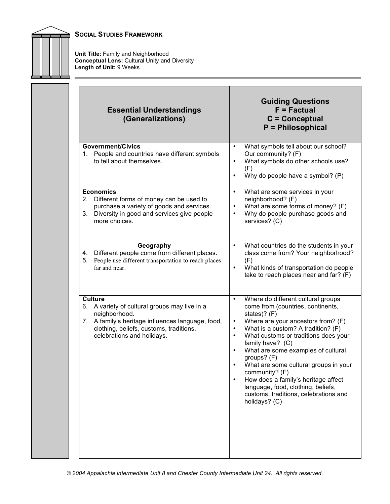

**Unit Title:** Family and Neighborhood **Conceptual Lens:** Cultural Unity and Diversity **Length of Unit:** 9 Weeks

| <b>Essential Understandings</b><br>(Generalizations)                                                                                                                                                           | <b>Guiding Questions</b><br>$F = Factorual$<br>$C =$ Conceptual<br>P = Philosophical                                                                                                                                                                                                                                                                                                                                                                                                                                                                                 |
|----------------------------------------------------------------------------------------------------------------------------------------------------------------------------------------------------------------|----------------------------------------------------------------------------------------------------------------------------------------------------------------------------------------------------------------------------------------------------------------------------------------------------------------------------------------------------------------------------------------------------------------------------------------------------------------------------------------------------------------------------------------------------------------------|
| <b>Government/Civics</b><br>People and countries have different symbols<br>1.<br>to tell about themselves.                                                                                                     | What symbols tell about our school?<br>$\bullet$<br>Our community? (F)<br>What symbols do other schools use?<br>$\bullet$<br>(F)<br>Why do people have a symbol? (P)<br>$\bullet$                                                                                                                                                                                                                                                                                                                                                                                    |
| <b>Economics</b><br>Different forms of money can be used to<br>2.<br>purchase a variety of goods and services.<br>Diversity in good and services give people<br>3.<br>more choices.                            | What are some services in your<br>$\bullet$<br>neighborhood? (F)<br>What are some forms of money? (F)<br>$\bullet$<br>Why do people purchase goods and<br>$\bullet$<br>services? (C)                                                                                                                                                                                                                                                                                                                                                                                 |
| Geography<br>Different people come from different places.<br>4.<br>People use different transportation to reach places<br>5.<br>far and near.                                                                  | What countries do the students in your<br>$\bullet$<br>class come from? Your neighborhood?<br>(F)<br>What kinds of transportation do people<br>$\bullet$<br>take to reach places near and far? (F)                                                                                                                                                                                                                                                                                                                                                                   |
| <b>Culture</b><br>6. A variety of cultural groups may live in a<br>neighborhood.<br>7. A family's heritage influences language, food,<br>clothing, beliefs, customs, traditions,<br>celebrations and holidays. | Where do different cultural groups<br>$\bullet$<br>come from (countries, continents,<br>states)? (F)<br>Where are your ancestors from? (F)<br>$\bullet$<br>What is a custom? A tradition? (F)<br>$\bullet$<br>What customs or traditions does your<br>$\bullet$<br>family have? (C)<br>What are some examples of cultural<br>$\bullet$<br>groups? (F)<br>What are some cultural groups in your<br>community? (F)<br>How does a family's heritage affect<br>$\bullet$<br>language, food, clothing, beliefs,<br>customs, traditions, celebrations and<br>holidays? (C) |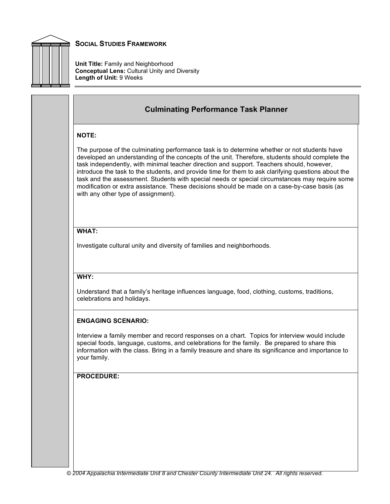

**Unit Title:** Family and Neighborhood **Conceptual Lens:** Cultural Unity and Diversity **Length of Unit:** 9 Weeks

#### **Culminating Performance Task Planner**

#### **NOTE:**

The purpose of the culminating performance task is to determine whether or not students have developed an understanding of the concepts of the unit. Therefore, students should complete the task independently, with minimal teacher direction and support. Teachers should, however, introduce the task to the students, and provide time for them to ask clarifying questions about the task and the assessment. Students with special needs or special circumstances may require some modification or extra assistance. These decisions should be made on a case-by-case basis (as with any other type of assignment).

#### **WHAT:**

Investigate cultural unity and diversity of families and neighborhoods.

#### **WHY:**

Understand that a family's heritage influences language, food, clothing, customs, traditions, celebrations and holidays.

#### **ENGAGING SCENARIO:**

Interview a family member and record responses on a chart. Topics for interview would include special foods, language, customs, and celebrations for the family. Be prepared to share this information with the class. Bring in a family treasure and share its significance and importance to your family.

#### **PROCEDURE:**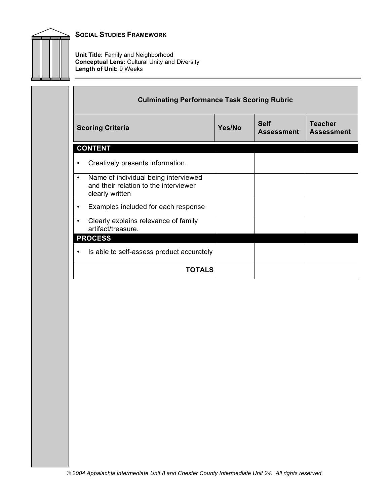

**Unit Title:** Family and Neighborhood **Conceptual Lens:** Cultural Unity and Diversity **Length of Unit:** 9 Weeks

|                         | <b>Culminating Performance Task Scoring Rubric</b>                                               |        |                                  |                                     |  |
|-------------------------|--------------------------------------------------------------------------------------------------|--------|----------------------------------|-------------------------------------|--|
| <b>Scoring Criteria</b> |                                                                                                  | Yes/No | <b>Self</b><br><b>Assessment</b> | <b>Teacher</b><br><b>Assessment</b> |  |
|                         | <b>CONTENT</b>                                                                                   |        |                                  |                                     |  |
| ٠                       | Creatively presents information.                                                                 |        |                                  |                                     |  |
| $\bullet$               | Name of individual being interviewed<br>and their relation to the interviewer<br>clearly written |        |                                  |                                     |  |
| $\bullet$               | Examples included for each response                                                              |        |                                  |                                     |  |
| $\bullet$               | Clearly explains relevance of family<br>artifact/treasure.                                       |        |                                  |                                     |  |
|                         | <b>PROCESS</b>                                                                                   |        |                                  |                                     |  |
| ٠                       | Is able to self-assess product accurately                                                        |        |                                  |                                     |  |
|                         | <b>TOTALS</b>                                                                                    |        |                                  |                                     |  |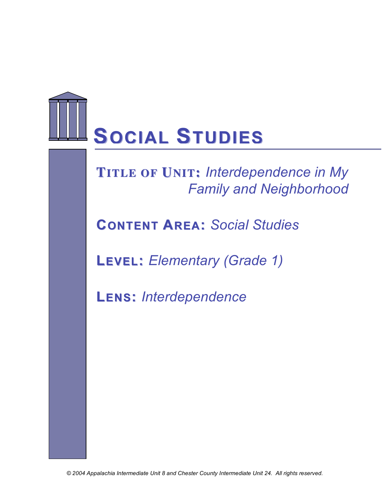# **SOCIAL STUDIES**

### **FRAMEWORKS TITLE OF UNIT:** *Interdependence in My Family and Neighborhood*

**CONTENT AREA:** *Social Studies*

**LEVEL:** *Elementary (Grade 1)*

**LENS:** *Interdependence*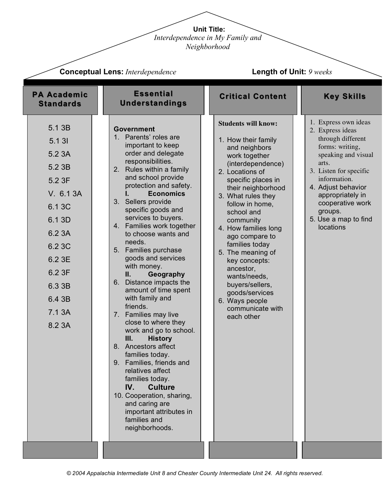**Unit Title:** *Interdependence in My Family and* 

*Neighborhood*

| <b>Conceptual Lens: Interdependence</b>                                                                                                                        |                                                                                                                                                                                                                                                                                                                                                                                                                                                                                                                                                                                                                                                                                                                                                                                                                                                                       | <b>Length of Unit: 9 weeks</b>                                                                                                                                                                                                                                                                                                                                                                                                                                      |                                                                                                                                                                                                                                                                          |  |
|----------------------------------------------------------------------------------------------------------------------------------------------------------------|-----------------------------------------------------------------------------------------------------------------------------------------------------------------------------------------------------------------------------------------------------------------------------------------------------------------------------------------------------------------------------------------------------------------------------------------------------------------------------------------------------------------------------------------------------------------------------------------------------------------------------------------------------------------------------------------------------------------------------------------------------------------------------------------------------------------------------------------------------------------------|---------------------------------------------------------------------------------------------------------------------------------------------------------------------------------------------------------------------------------------------------------------------------------------------------------------------------------------------------------------------------------------------------------------------------------------------------------------------|--------------------------------------------------------------------------------------------------------------------------------------------------------------------------------------------------------------------------------------------------------------------------|--|
| <b>PA Academic</b><br><b>Standards</b>                                                                                                                         | <b>Essential</b><br><b>Understandings</b>                                                                                                                                                                                                                                                                                                                                                                                                                                                                                                                                                                                                                                                                                                                                                                                                                             | <b>Critical Content</b>                                                                                                                                                                                                                                                                                                                                                                                                                                             | <b>Key Skills</b>                                                                                                                                                                                                                                                        |  |
| 5.1 3B<br>5.131<br>5.2 3A<br>5.2 3B<br>5.2 3F<br>V. 6.1 3A<br>6.1 3C<br>6.1 3D<br>6.2 3A<br>6.2 3C<br>6.2 3E<br>6.2 3F<br>6.3 3B<br>6.4 3B<br>7.1 3A<br>8.2 3A | <b>Government</b><br>1. Parents' roles are<br>important to keep<br>order and delegate<br>responsibilities.<br>2. Rules within a family<br>and school provide<br>protection and safety.<br><b>Economics</b><br>3. Sellers provide<br>specific goods and<br>services to buyers.<br>4. Families work together<br>to choose wants and<br>needs.<br>5. Families purchase<br>goods and services<br>with money.<br>Geography<br>Ш.<br>6. Distance impacts the<br>amount of time spent<br>with family and<br>friends.<br>7. Families may live<br>close to where they<br>work and go to school.<br>III.<br><b>History</b><br>8. Ancestors affect<br>families today.<br>Families, friends and<br>9.<br>relatives affect<br>families today.<br>IV.<br><b>Culture</b><br>10. Cooperation, sharing,<br>and caring are<br>important attributes in<br>families and<br>neighborhoods. | <b>Students will know:</b><br>1. How their family<br>and neighbors<br>work together<br>(interdependence)<br>2. Locations of<br>specific places in<br>their neighborhood<br>3. What rules they<br>follow in home,<br>school and<br>community<br>4. How families long<br>ago compare to<br>families today<br>5. The meaning of<br>key concepts:<br>ancestor,<br>wants/needs,<br>buyers/sellers,<br>goods/services<br>6. Ways people<br>communicate with<br>each other | 1. Express own ideas<br>2. Express ideas<br>through different<br>forms: writing,<br>speaking and visual<br>arts.<br>3. Listen for specific<br>information.<br>4. Adjust behavior<br>appropriately in<br>cooperative work<br>groups.<br>5. Use a map to find<br>locations |  |
|                                                                                                                                                                |                                                                                                                                                                                                                                                                                                                                                                                                                                                                                                                                                                                                                                                                                                                                                                                                                                                                       |                                                                                                                                                                                                                                                                                                                                                                                                                                                                     |                                                                                                                                                                                                                                                                          |  |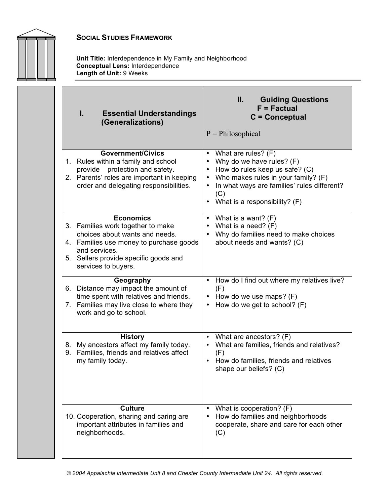

**Unit Title:** Interdependence in My Family and Neighborhood **Conceptual Lens:** Interdependence **Length of Unit:** 9 Weeks

| I.<br><b>Essential Understandings</b><br>(Generalizations)                                                                                                                                                          | II.<br><b>Guiding Questions</b><br>$F = Factorual$<br>$C =$ Conceptual<br>$P = Philosophical$                                                                                                                                 |
|---------------------------------------------------------------------------------------------------------------------------------------------------------------------------------------------------------------------|-------------------------------------------------------------------------------------------------------------------------------------------------------------------------------------------------------------------------------|
| <b>Government/Civics</b><br>1. Rules within a family and school<br>provide protection and safety.<br>2. Parents' roles are important in keeping<br>order and delegating responsibilities.                           | What are rules? (F)<br>Why do we have rules? (F)<br>How do rules keep us safe? (C)<br>Who makes rules in your family? (F)<br>In what ways are families' rules different?<br>(C)<br>What is a responsibility? (F)<br>$\bullet$ |
| <b>Economics</b><br>3. Families work together to make<br>choices about wants and needs.<br>4. Families use money to purchase goods<br>and services.<br>5. Sellers provide specific goods and<br>services to buyers. | • What is a want? $(F)$<br>• What is a need? $(F)$<br>Why do families need to make choices<br>about needs and wants? (C)                                                                                                      |
| Geography<br>6. Distance may impact the amount of<br>time spent with relatives and friends.<br>7. Families may live close to where they<br>work and go to school.                                                   | How do I find out where my relatives live?<br>$\bullet$<br>(F)<br>• How do we use maps? $(F)$<br>How do we get to school? (F)                                                                                                 |
| <b>History</b><br>8. My ancestors affect my family today.<br>9. Families, friends and relatives affect<br>my family today.                                                                                          | What are ancestors? (F)<br>What are families, friends and relatives?<br>(F)<br>How do families, friends and relatives<br>shape our beliefs? (C)                                                                               |
| <b>Culture</b><br>10. Cooperation, sharing and caring are<br>important attributes in families and<br>neighborhoods.                                                                                                 | What is cooperation? (F)<br>$\bullet$<br>How do families and neighborhoods<br>cooperate, share and care for each other<br>(C)                                                                                                 |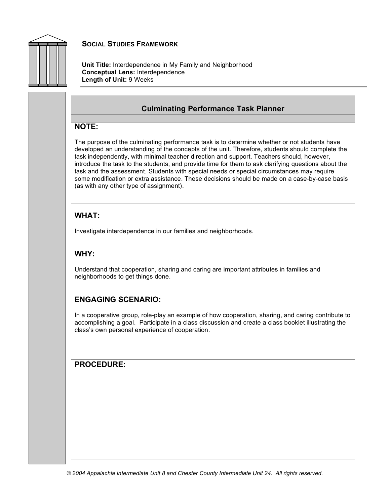

**Unit Title:** Interdependence in My Family and Neighborhood **Conceptual Lens:** Interdependence **Length of Unit:** 9 Weeks

#### **Culminating Performance Task Planner**

#### **NOTE:**

The purpose of the culminating performance task is to determine whether or not students have developed an understanding of the concepts of the unit. Therefore, students should complete the task independently, with minimal teacher direction and support. Teachers should, however, introduce the task to the students, and provide time for them to ask clarifying questions about the task and the assessment. Students with special needs or special circumstances may require some modification or extra assistance. These decisions should be made on a case-by-case basis (as with any other type of assignment).

#### **WHAT:**

Investigate interdependence in our families and neighborhoods.

#### **WHY:**

Understand that cooperation, sharing and caring are important attributes in families and neighborhoods to get things done.

#### **ENGAGING SCENARIO:**

In a cooperative group, role-play an example of how cooperation, sharing, and caring contribute to accomplishing a goal. Participate in a class discussion and create a class booklet illustrating the class's own personal experience of cooperation.

#### **PROCEDURE:**